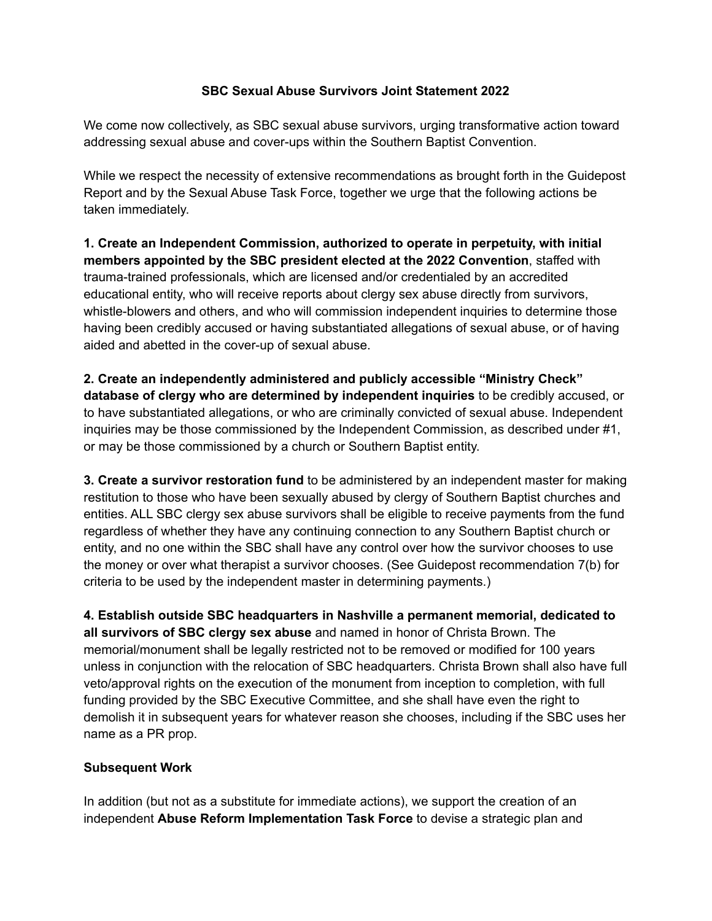## **SBC Sexual Abuse Survivors Joint Statement 2022**

We come now collectively, as SBC sexual abuse survivors, urging transformative action toward addressing sexual abuse and cover-ups within the Southern Baptist Convention.

While we respect the necessity of extensive recommendations as brought forth in the Guidepost Report and by the Sexual Abuse Task Force, together we urge that the following actions be taken immediately.

**1. Create an Independent Commission, authorized to operate in perpetuity, with initial members appointed by the SBC president elected at the 2022 Convention**, staffed with trauma-trained professionals, which are licensed and/or credentialed by an accredited educational entity, who will receive reports about clergy sex abuse directly from survivors, whistle-blowers and others, and who will commission independent inquiries to determine those having been credibly accused or having substantiated allegations of sexual abuse, or of having aided and abetted in the cover-up of sexual abuse.

**2. Create an independently administered and publicly accessible "Ministry Check" database of clergy who are determined by independent inquiries** to be credibly accused, or to have substantiated allegations, or who are criminally convicted of sexual abuse. Independent inquiries may be those commissioned by the Independent Commission, as described under #1, or may be those commissioned by a church or Southern Baptist entity.

**3. Create a survivor restoration fund** to be administered by an independent master for making restitution to those who have been sexually abused by clergy of Southern Baptist churches and entities. ALL SBC clergy sex abuse survivors shall be eligible to receive payments from the fund regardless of whether they have any continuing connection to any Southern Baptist church or entity, and no one within the SBC shall have any control over how the survivor chooses to use the money or over what therapist a survivor chooses. (See Guidepost recommendation 7(b) for criteria to be used by the independent master in determining payments.)

**4. Establish outside SBC headquarters in Nashville a permanent memorial, dedicated to all survivors of SBC clergy sex abuse** and named in honor of Christa Brown. The memorial/monument shall be legally restricted not to be removed or modified for 100 years unless in conjunction with the relocation of SBC headquarters. Christa Brown shall also have full veto/approval rights on the execution of the monument from inception to completion, with full funding provided by the SBC Executive Committee, and she shall have even the right to demolish it in subsequent years for whatever reason she chooses, including if the SBC uses her name as a PR prop.

## **Subsequent Work**

In addition (but not as a substitute for immediate actions), we support the creation of an independent **Abuse Reform Implementation Task Force** to devise a strategic plan and